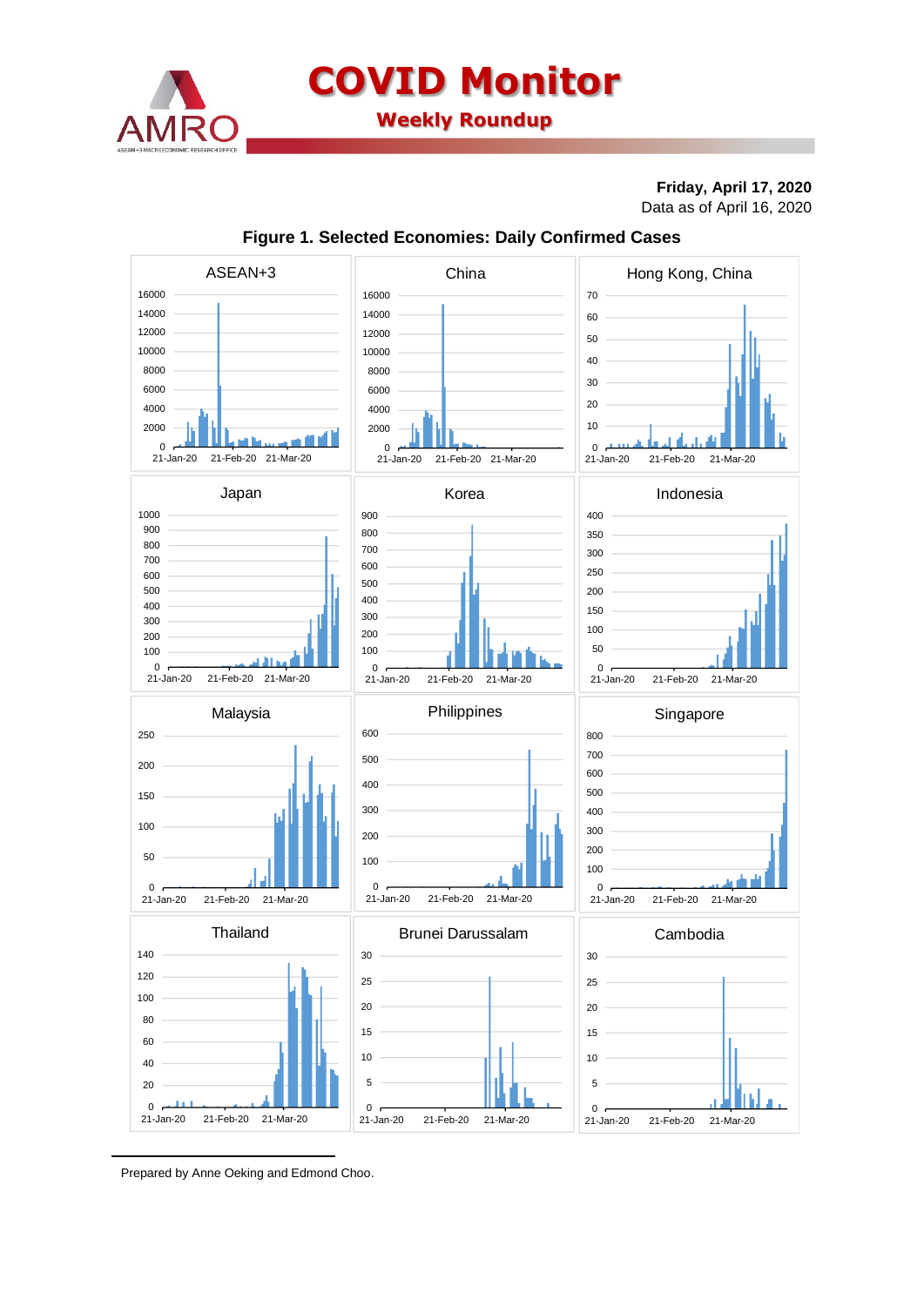

**COVID Monitor Weekly Roundup**

## **Friday, April 17, 2020** Data as of April 16, 2020



## **Figure 1. Selected Economies: Daily Confirmed Cases**

Prepared by Anne Oeking and Edmond Choo.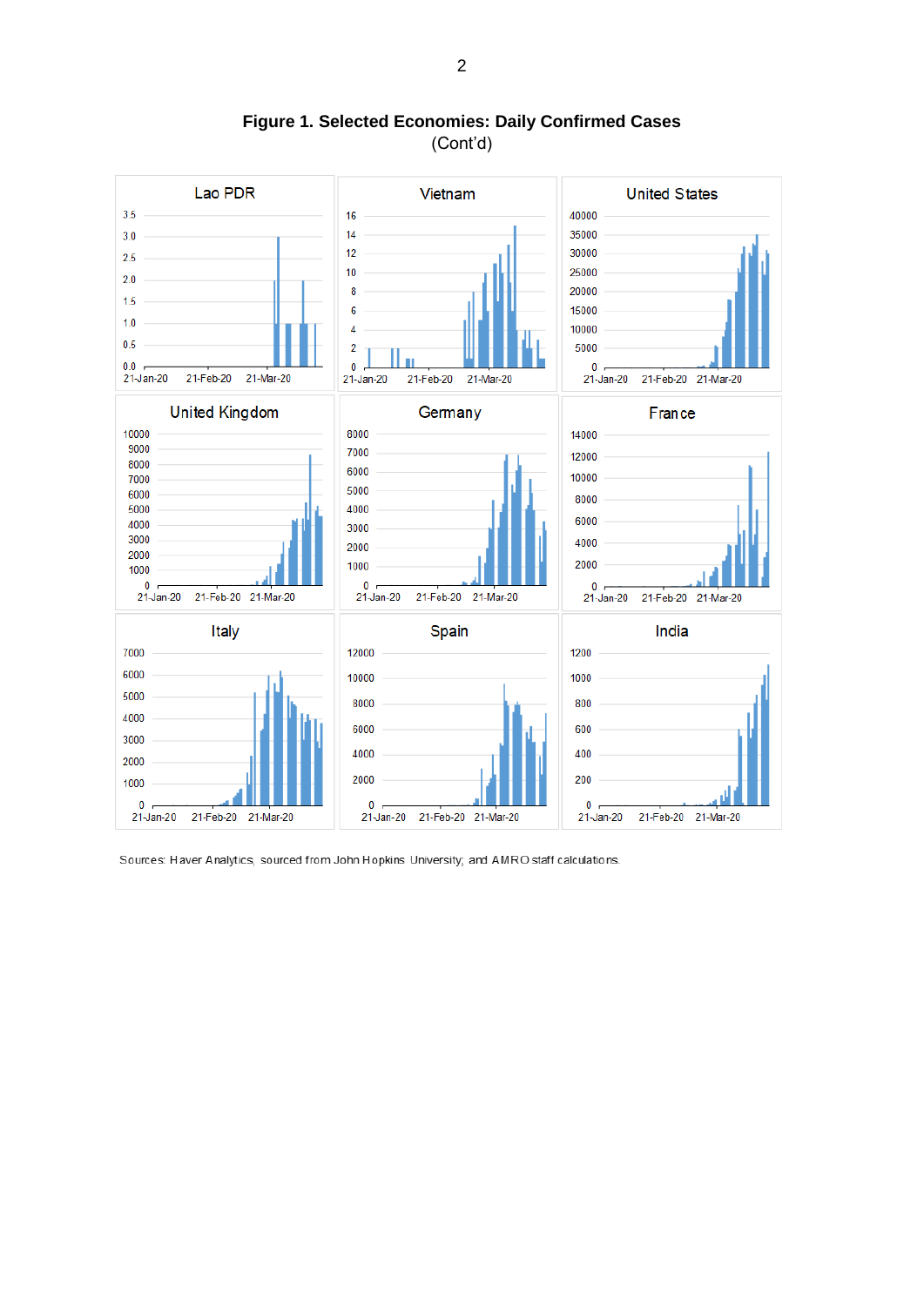

**Figure 1. Selected Economies: Daily Confirmed Cases** (Cont'd)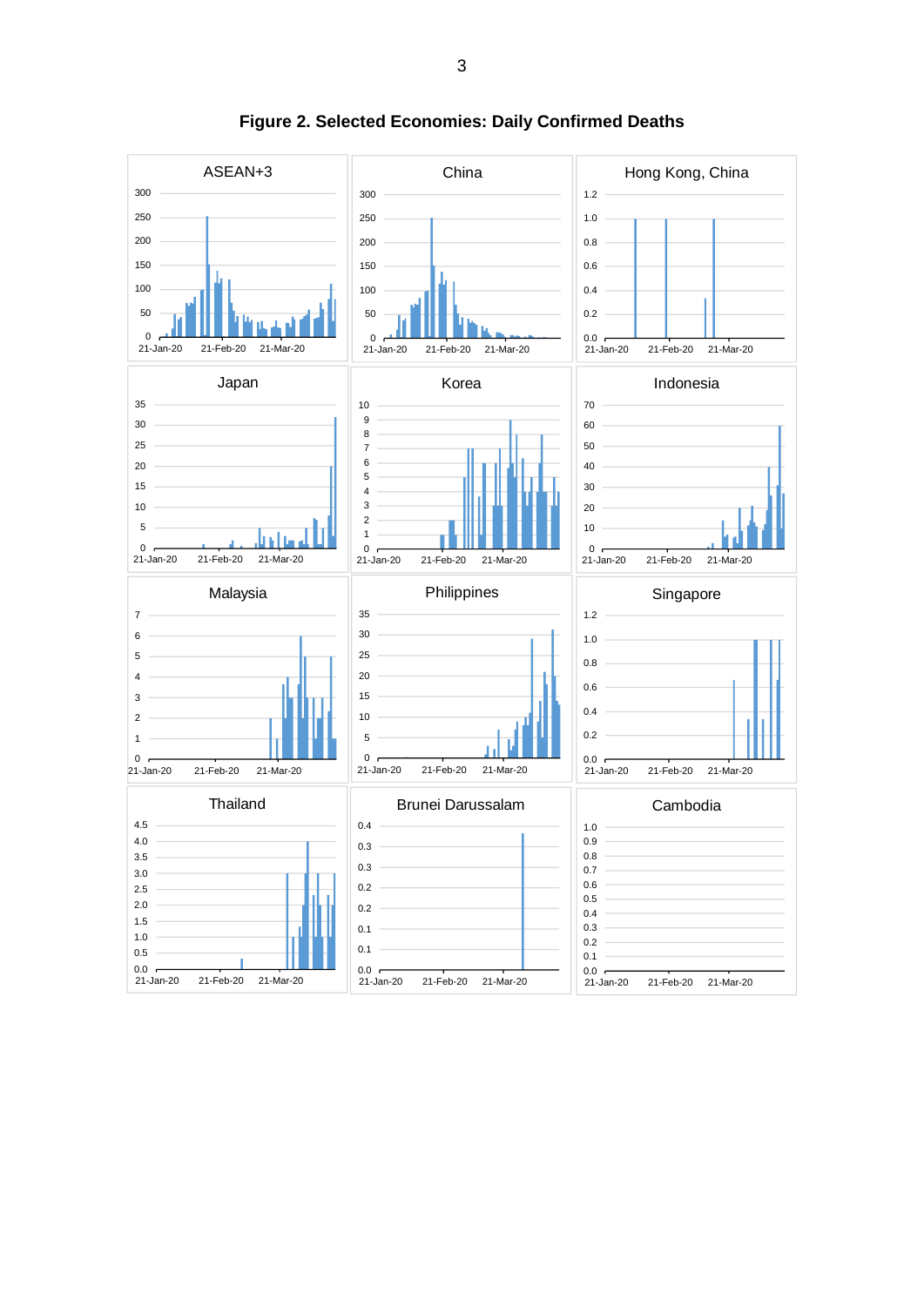

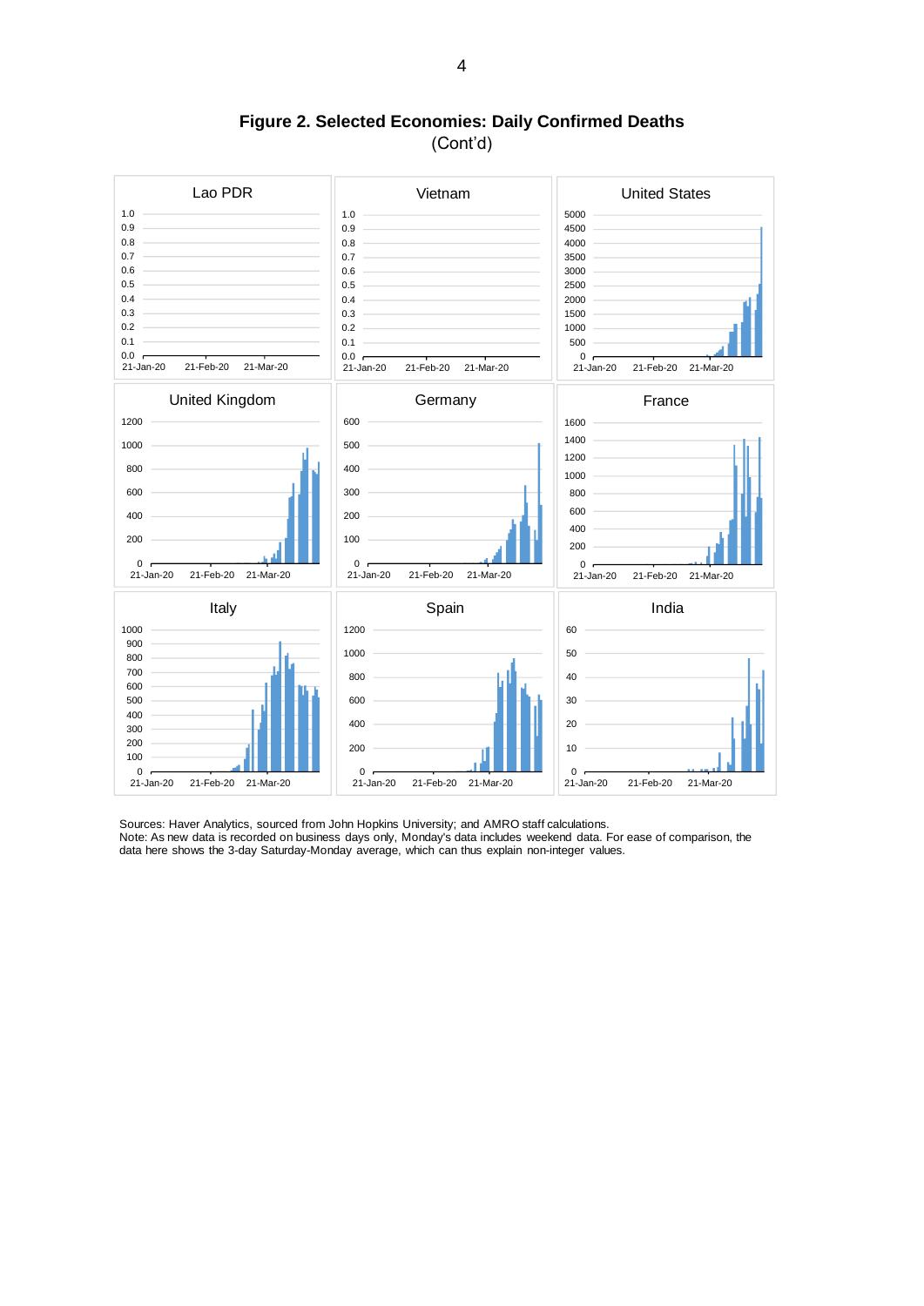**Figure 2. Selected Economies: Daily Confirmed Deaths** (Cont'd)



Note: As new data is recorded on business days only, Monday's data includes weekend data. For ease of comparison, the data here shows the 3-day Saturday-Monday average, which can thus explain non-integer values.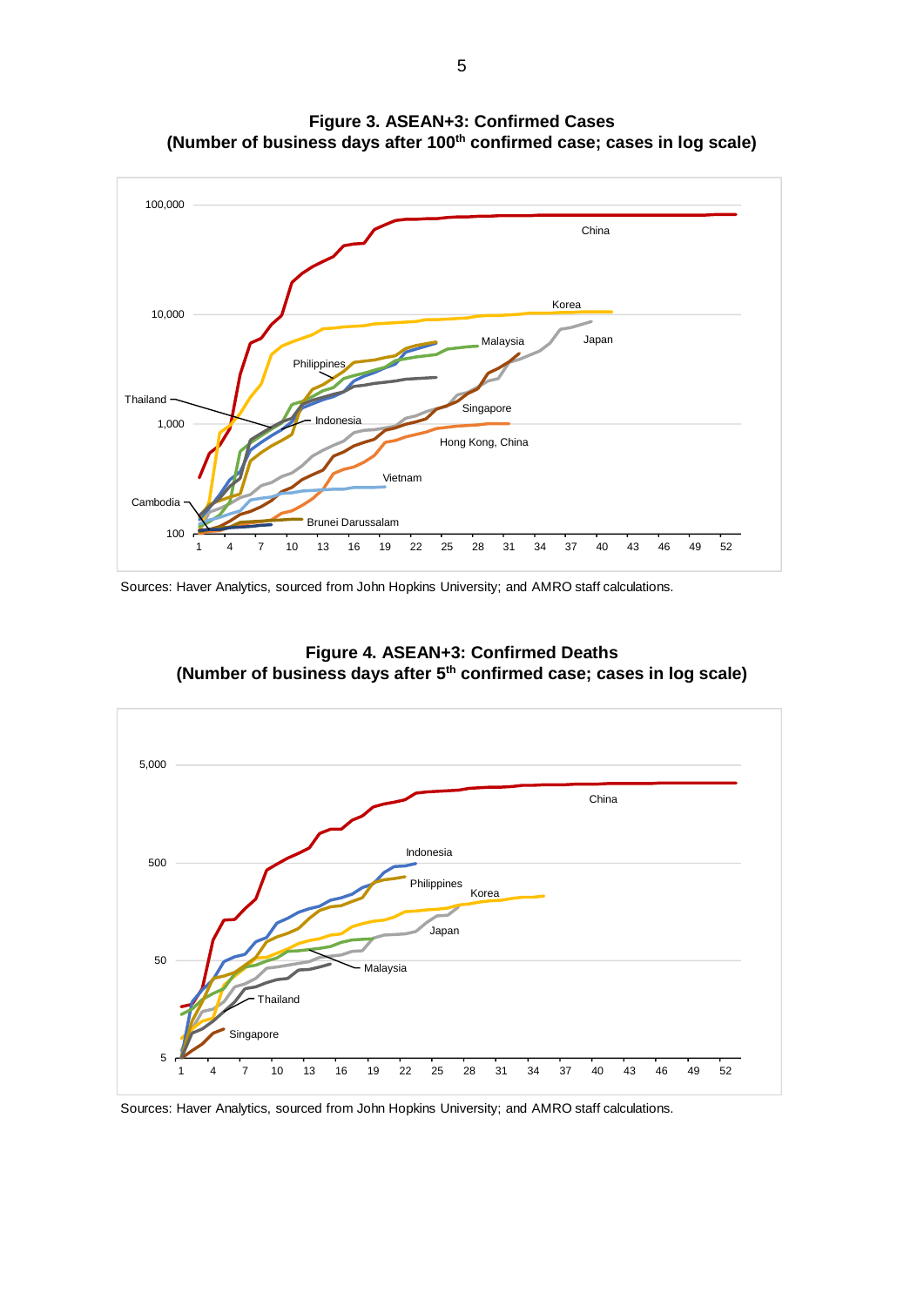

**Figure 3. ASEAN+3: Confirmed Cases (Number of business days after 100th confirmed case; cases in log scale)**

Sources: Haver Analytics, sourced from John Hopkins University; and AMRO staff calculations.



**Figure 4. ASEAN+3: Confirmed Deaths (Number of business days after 5th confirmed case; cases in log scale)**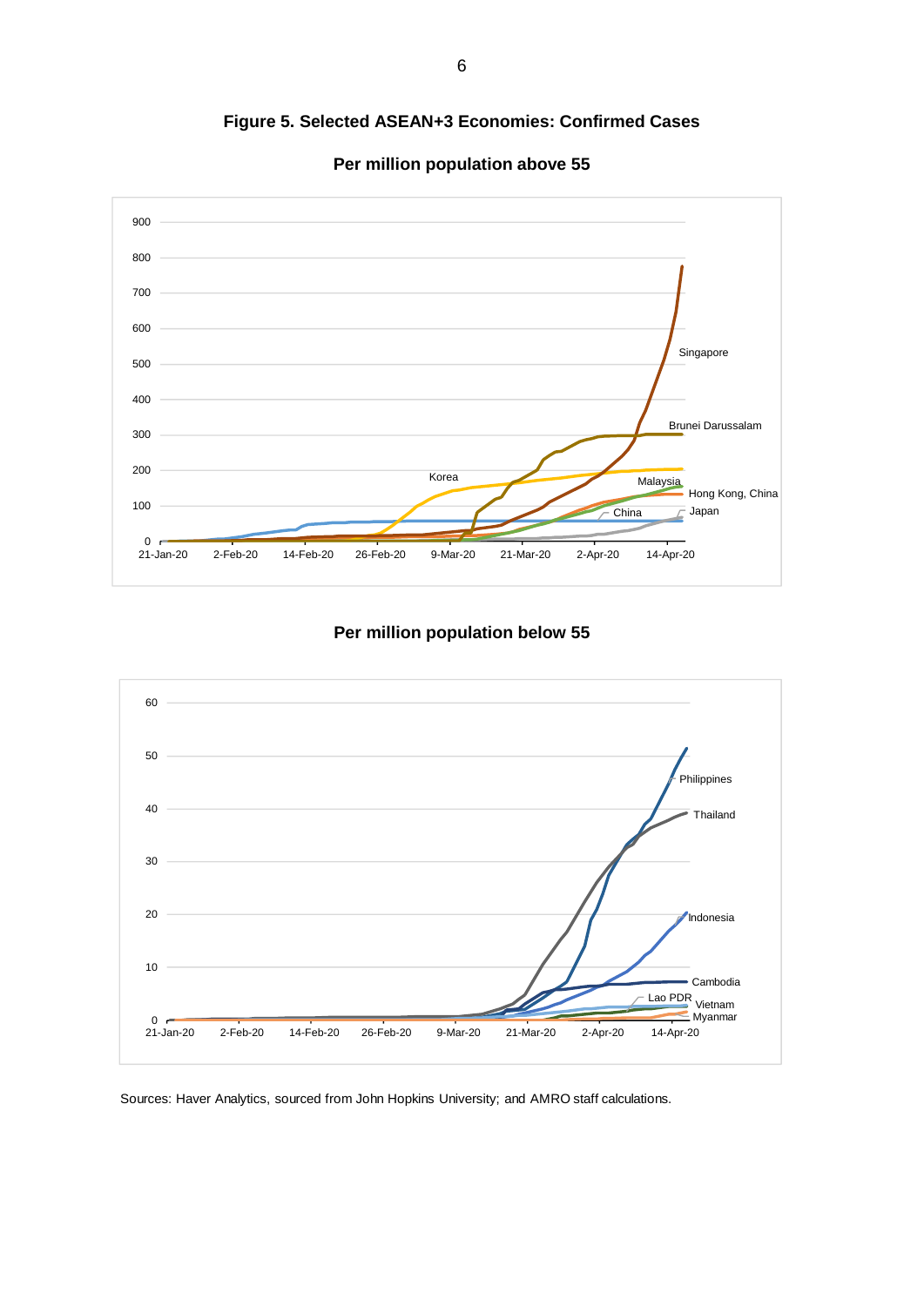**Figure 5. Selected ASEAN+3 Economies: Confirmed Cases**



**Per million population above 55**

## **Per million population below 55**

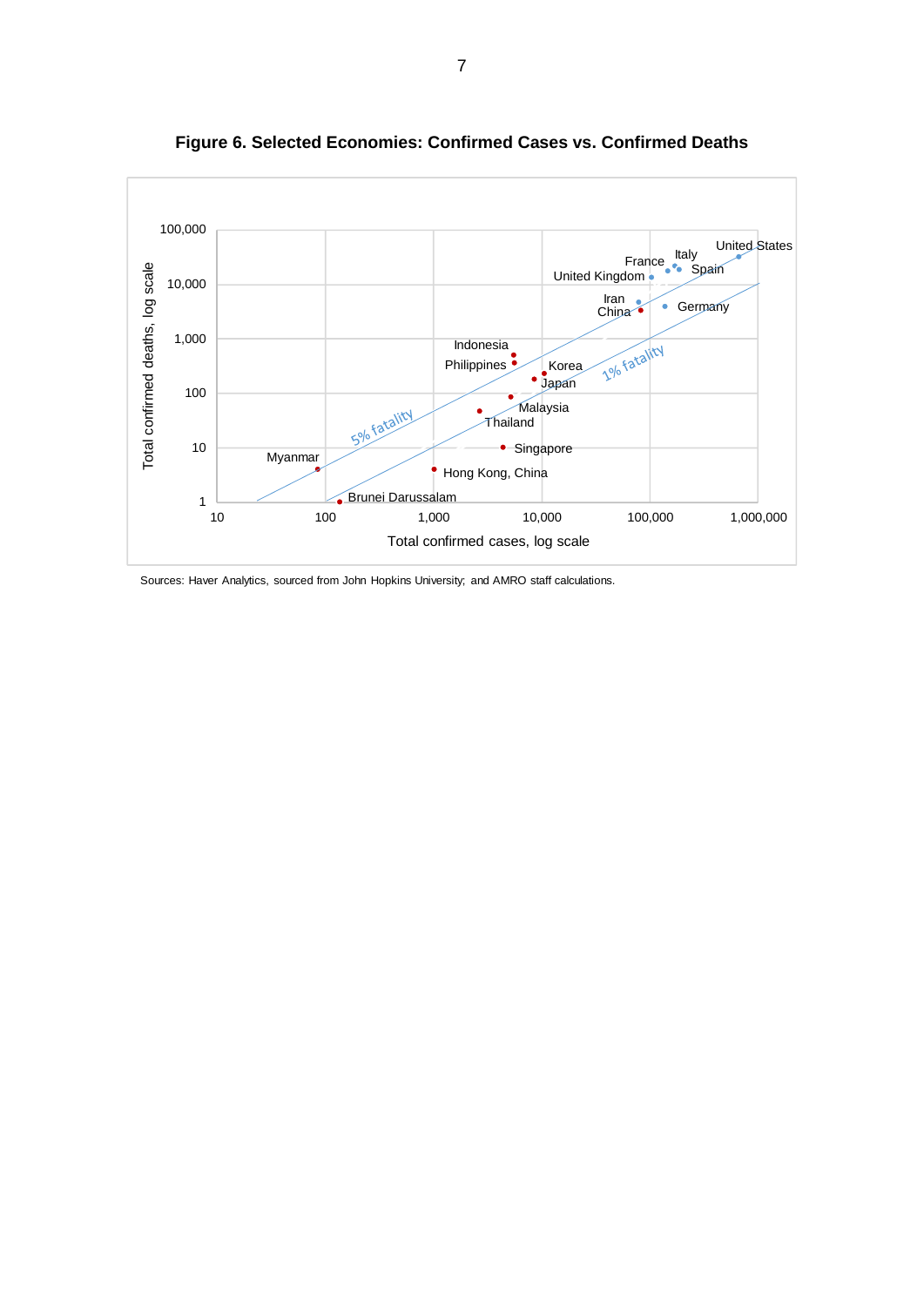

**Figure 6. Selected Economies: Confirmed Cases vs. Confirmed Deaths**